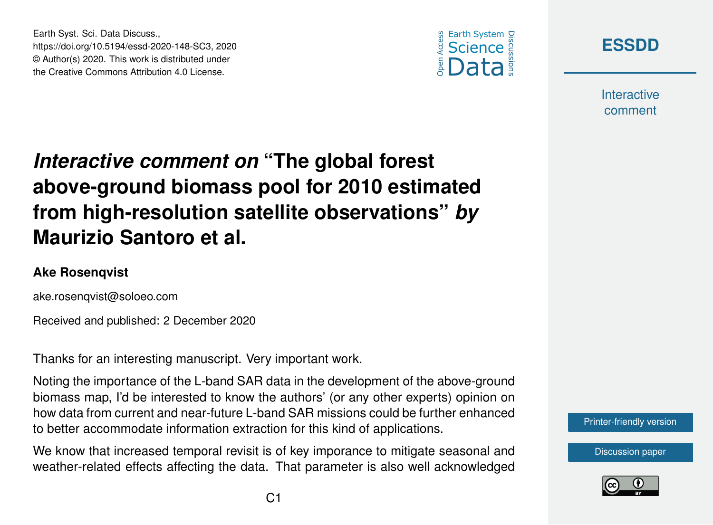



**Interactive** comment

## *Interactive comment on* **"The global forest above-ground biomass pool for 2010 estimated from high-resolution satellite observations"** *by* **Maurizio Santoro et al.**

## **Ake Rosenqvist**

ake.rosenqvist@soloeo.com

Earth Syst. Sci. Data Discuss.,

https://doi.org/10.5194/essd-2020-148-SC3, 2020 © Author(s) 2020. This work is distributed under the Creative Commons Attribution 4.0 License.

Received and published: 2 December 2020

Thanks for an interesting manuscript. Very important work.

Noting the importance of the L-band SAR data in the development of the above-ground biomass map, I'd be interested to know the authors' (or any other experts) opinion on how data from current and near-future L-band SAR missions could be further enhanced to better accommodate information extraction for this kind of applications.

We know that increased temporal revisit is of key imporance to mitigate seasonal and weather-related effects affecting the data. That parameter is also well acknowledged [Printer-friendly version](https://essd.copernicus.org/preprints/essd-2020-148/essd-2020-148-SC3-print.pdf)

[Discussion paper](https://essd.copernicus.org/preprints/essd-2020-148)